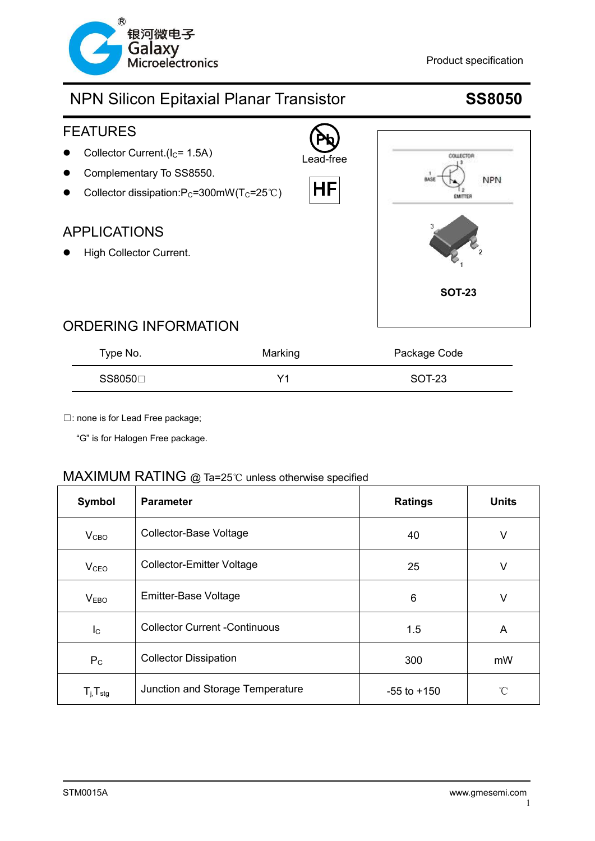



### ORDERING INFORMATION

| Type No. | Marking | Package Code |
|----------|---------|--------------|
| SS8050⊟  | V1      | SOT-23       |

□: none is for Lead Free package;

"G" is for Halogen Free package.

### MAXIMUM RATING @ Ta=25℃ unless otherwise specified

| Symbol                     | <b>Parameter</b>                     | <b>Ratings</b>  | <b>Units</b> |
|----------------------------|--------------------------------------|-----------------|--------------|
| V <sub>CBO</sub>           | <b>Collector-Base Voltage</b>        | 40              | V            |
| V <sub>CEO</sub>           | <b>Collector-Emitter Voltage</b>     | 25              | V            |
| V <sub>EBO</sub>           | Emitter-Base Voltage                 | 6               | V            |
| $I_{\rm C}$                | <b>Collector Current -Continuous</b> | 1.5             | A            |
| $P_{C}$                    | <b>Collector Dissipation</b>         | 300             | mW           |
| $T_{j}$ , $T_{\text{stg}}$ | Junction and Storage Temperature     | $-55$ to $+150$ | $^{\circ}C$  |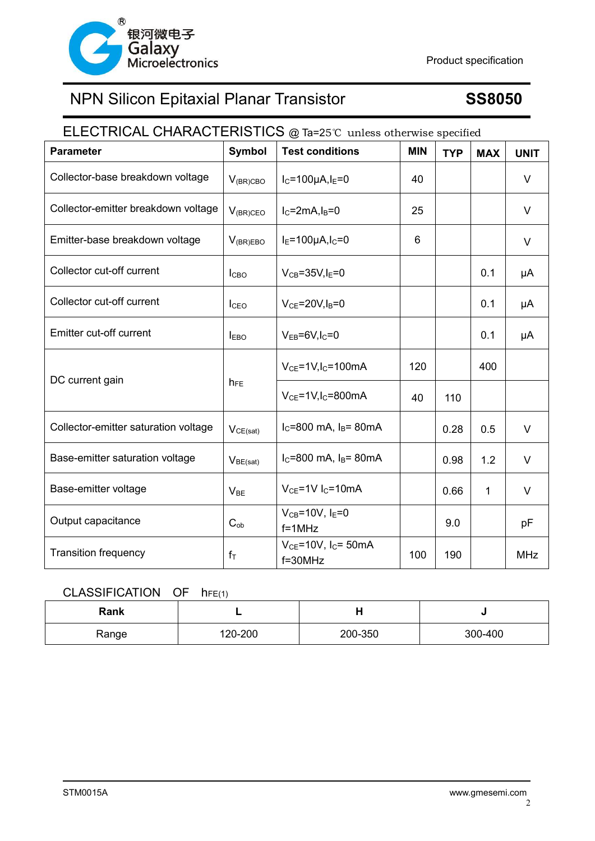

# ELECTRICAL CHARACTERISTICS @ Ta=25℃ unless otherwise specified **Parameter Symbol Test conditions MIN**  $\vert$  TYP  $\vert$  MAX  $\vert$  UNIT Collector-base breakdown voltage  $V_{(BR)CBO}$   $|_{C=100\mu A, I<sub>E</sub>=0}$  40  $|$   $|$   $|$   $|$ Collector-emitter breakdown voltage  $V_{(BR)CEO}$   $|_{C=2mA, I_{B}=0}$  25  $|$  1 Emitter-base breakdown voltage  $\begin{array}{ccc} |V_{(B R) E B0} | E=100 \mu A, l_c=0 \end{array}$  6  $\begin{array}{ccc} | & 6 \end{array}$ Collector cut-off current ICBO VCB=35V,IE=0 0.1 μA Collector cut-off current ICEO VCE=20V,IB=0 0.1 μA Emitter cut-off current  $I_{EBO}$   $V_{EB}=6V,I_C=0$   $1$  0.1  $\mu$ A DC current gain  $h_{FE}$  $V_{CE}$ =1V,I<sub>C</sub>=100mA 120 120 400  $V_{CE}$ =1V,I<sub>C</sub>=800mA  $\vert$  40 110 Collector-emitter saturation voltage  $\vert$  V<sub>CE(sat)</sub>  $\vert$  I<sub>C</sub>=800 mA, I<sub>B</sub>= 80mA  $\vert$  0.28  $\vert$  0.5  $\vert$  V Base-emitter saturation voltage  $\big| V_{BE(sat)} \big|$  Ic=800 mA, I<sub>B</sub>= 80mA  $\big|$  0.98 1.2 V Base-emitter voltage  $\vert_{V_{BF}}$   $\vert_{V_{CE}}$  =1V I<sub>C</sub>=10mA  $\vert$  0.66 1 1 V Output capacitance  $\Big|\begin{array}{ccc} C_{\text{ob}} & C_{\text{ob}} \end{array}\Big|$  $V_{CB}$ =10V, I<sub>F</sub>=0 f=1MHz 9.0 pF Transition frequency  $|f_{\tau}|$  $V_{CE}$ =10V,  $I_C$ = 50mA  $f=30MHz$  100 190 MHz

### CLASSIFICATION OF  $h_{FE(1)}$

| Rank  | -       |         |         |
|-------|---------|---------|---------|
| Range | 120-200 | 200-350 | 300-400 |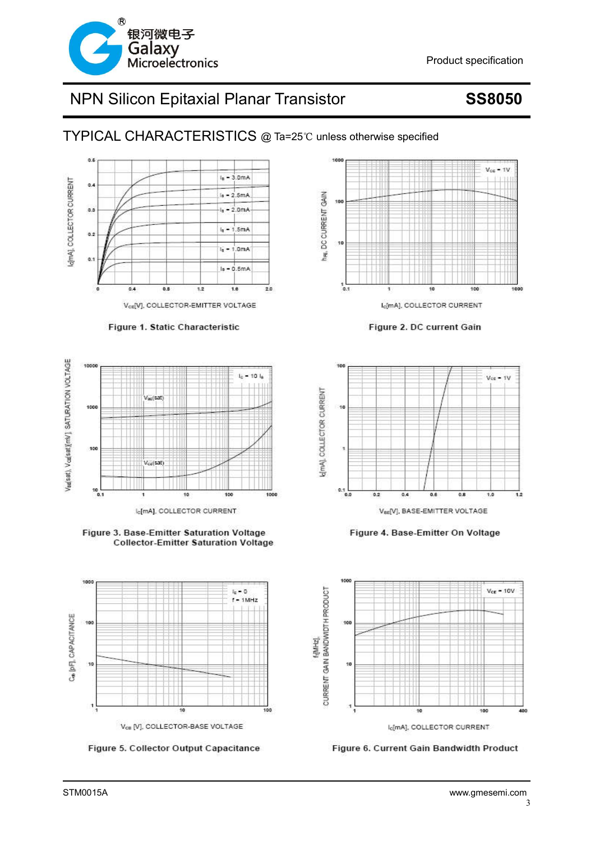

TYPICAL CHARACTERISTICS @ Ta=25℃ unless otherwise specified







Figure 3. Base-Emitter Saturation Voltage **Collector-Emitter Saturation Voltage** 



Figure 5. Collector Output Capacitance



Figure 2. DC current Gain



Figure 4. Base-Emitter On Voltage



Figure 6. Current Gain Bandwidth Product